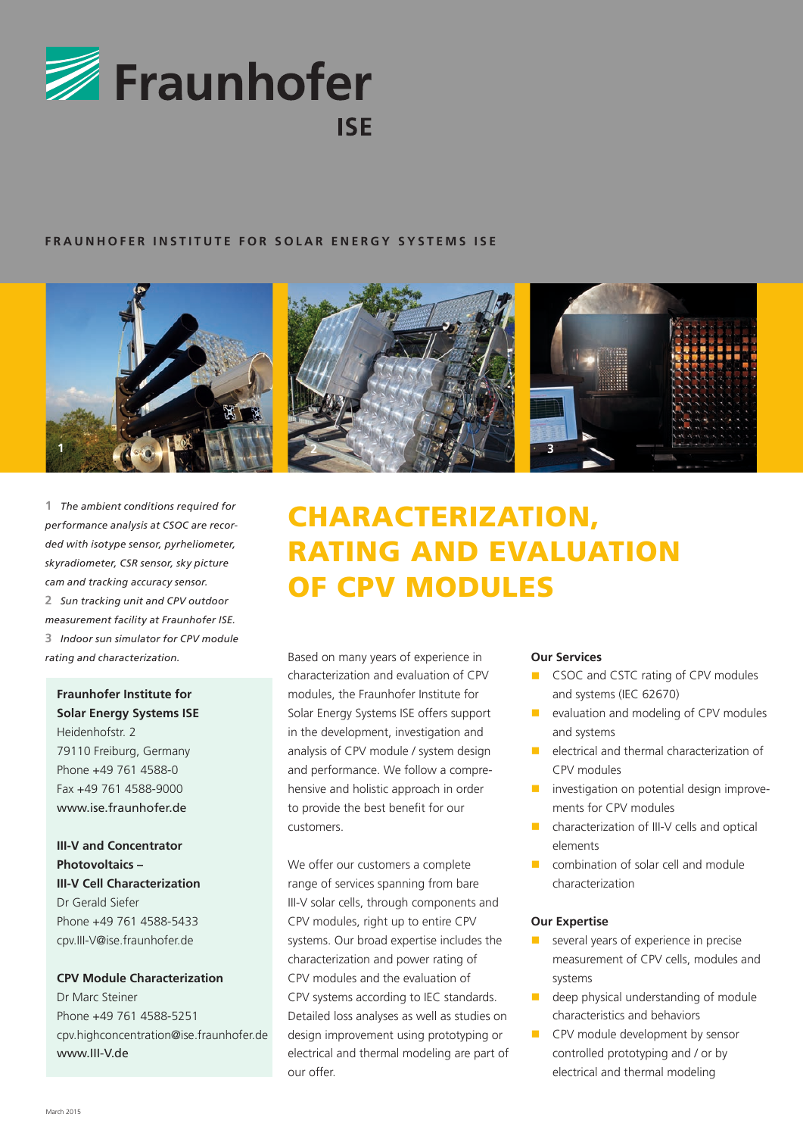

#### **FRAUNHOFER INSTITUTE FOR SOLAR ENERGY SYSTEMS ISE**



**1** *The ambient conditions required for performance analysis at CSOC are recorded with isotype sensor, pyrheliometer, skyradiometer, CSR sensor, sky picture cam and tracking accuracy sensor.* **2** *Sun tracking unit and CPV outdoor measurement facility at Fraunhofer ISE.* **3** *Indoor sun simulator for CPV module rating and characterization.*

# **Fraunhofer Institute for Solar Energy Systems ISE** Heidenhofstr. 2

79110 Freiburg, Germany Phone +49 761 4588-0 Fax +49 761 4588-9000 www.jse.fraunhofer.de

**III-V and Concentrator Photovoltaics – III-V Cell Characterization** Dr Gerald Siefer Phone +49 761 4588-5433 cpv.III-V@ise.fraunhofer.de

#### **CPV Module Characterization**

Dr Marc Steiner Phone +49 761 4588-5251 cpv.highconcentration@ise.fraunhofer.de www.III-V.de



# CHARACTERIZATION, RATING AND EVALUATION OF CPV MODULES

Based on many years of experience in characterization and evaluation of CPV modules, the Fraunhofer Institute for Solar Energy Systems ISE offers support in the development, investigation and analysis of CPV module / system design and performance. We follow a comprehensive and holistic approach in order to provide the best benefit for our customers.

We offer our customers a complete range of services spanning from bare III-V solar cells, through components and CPV modules, right up to entire CPV systems. Our broad expertise includes the characterization and power rating of CPV modules and the evaluation of CPV systems according to IEC standards. Detailed loss analyses as well as studies on design improvement using prototyping or electrical and thermal modeling are part of our offer.

#### **Our Services**

- **n** CSOC and CSTC rating of CPV modules and systems (IEC 62670)
- $\blacksquare$  evaluation and modeling of CPV modules and systems
- n electrical and thermal characterization of CPV modules
- $\blacksquare$  investigation on potential design improvements for CPV modules
- n characterization of III-V cells and optical elements
- $\Box$  combination of solar cell and module characterization

#### **Our Expertise**

- several years of experience in precise measurement of CPV cells, modules and systems
- $\blacksquare$  deep physical understanding of module characteristics and behaviors
- **n** CPV module development by sensor controlled prototyping and / or by electrical and thermal modeling